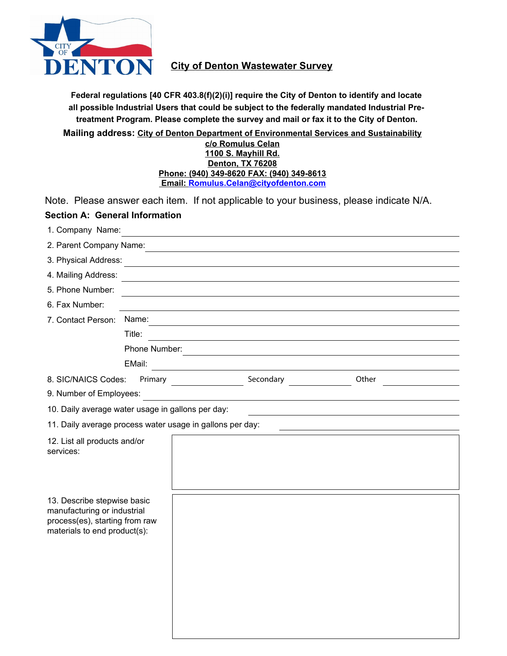

## **City of Denton Wastewater Survey**

**all possible Industrial Users that could be subject to the federally mandated Industrial Pretreatment Program. Please complete the survey and mail or fax it to the City of Denton. Federal regulations [40 CFR 403.8(f)(2)(i)] require the City of Denton to identify and locate**

**Mailing address: City of Denton Department of Environmental Services and Sustainability**

#### **c/o Romulus Celan 1100 S. Mayhill Rd. Denton, TX 76208 Phone: (940) 349-8620 FAX: (940) 349-8613 Email: [Romulus.Celan@cityofdenton.com](mailto:romulus.celan@cityofdenton.com?subject=Denton%20IU%20Waste%20Survey)**

Note. Please answer each item. If not applicable to your business, please indicate N/A.

# **Section A: General Information**

| 1. Company Name:                                                                                                             |               |                                         | and the control of the control of the control of the control of the control of the control of the control of the       |                                                                                           |  |
|------------------------------------------------------------------------------------------------------------------------------|---------------|-----------------------------------------|------------------------------------------------------------------------------------------------------------------------|-------------------------------------------------------------------------------------------|--|
|                                                                                                                              |               |                                         |                                                                                                                        |                                                                                           |  |
| 3. Physical Address:                                                                                                         |               |                                         |                                                                                                                        |                                                                                           |  |
| 4. Mailing Address:                                                                                                          |               |                                         | <u> 1989 - Johann Stoff, deutscher Stoffen und der Stoffen und der Stoffen und der Stoffen und der Stoffen und der</u> |                                                                                           |  |
| 5. Phone Number:                                                                                                             |               |                                         | <u> 1989 - Johann Barbara, marka a shekara tsa 1989 - An tsa 1989 - An tsa 1989 - An tsa 1989 - An tsa 1989 - An</u>   |                                                                                           |  |
| 6. Fax Number:                                                                                                               |               |                                         |                                                                                                                        |                                                                                           |  |
| 7. Contact Person:                                                                                                           | Name:         |                                         |                                                                                                                        |                                                                                           |  |
|                                                                                                                              | Title:        |                                         |                                                                                                                        |                                                                                           |  |
|                                                                                                                              | Phone Number: |                                         |                                                                                                                        |                                                                                           |  |
|                                                                                                                              | EMail:        | <u> 1980 - Johann Barbara, martin a</u> |                                                                                                                        |                                                                                           |  |
| 8. SIC/NAICS Codes:                                                                                                          |               |                                         | Secondary                                                                                                              | Other                                                                                     |  |
| 9. Number of Employees:                                                                                                      |               |                                         |                                                                                                                        |                                                                                           |  |
| 10. Daily average water usage in gallons per day:                                                                            |               |                                         |                                                                                                                        | the control of the control of the control of the control of the control of the control of |  |
| 11. Daily average process water usage in gallons per day:                                                                    |               |                                         |                                                                                                                        |                                                                                           |  |
| 12. List all products and/or<br>services:                                                                                    |               |                                         |                                                                                                                        |                                                                                           |  |
| 13. Describe stepwise basic<br>manufacturing or industrial<br>process(es), starting from raw<br>materials to end product(s): |               |                                         |                                                                                                                        |                                                                                           |  |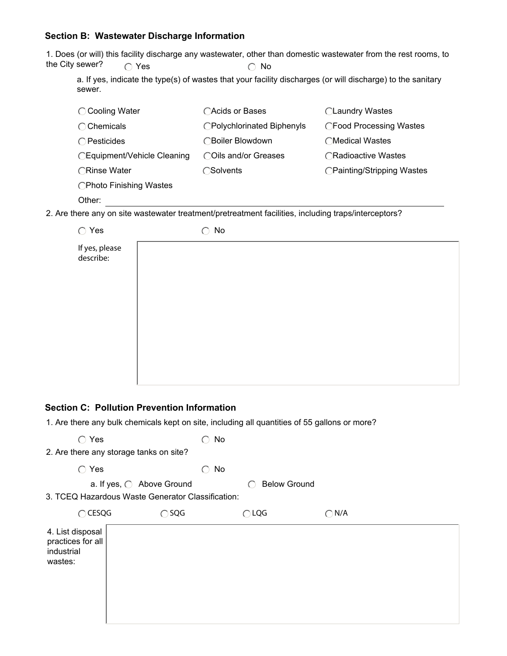### **Section B: Wastewater Discharge Information**

1. Does (or will) this facility discharge any wastewater, other than domestic wastewater from the rest rooms, to the City sewer?  $\bigcirc$  Yes  $\bigcirc$  No

a. If yes, indicate the type(s) of wastes that your facility discharges (or will discharge) to the sanitary sewer.

| ◯ Cooling Water             | ◯Acids or Bases            | ◯Laundry Wastes            |
|-----------------------------|----------------------------|----------------------------|
| $\bigcirc$ Chemicals        | ◯Polychlorinated Biphenyls | ◯Food Processing Wastes    |
| $\bigcap$ Pesticides        | ∩Boiler Blowdown           | ◯Medical Wastes            |
| ◯Equipment/Vehicle Cleaning | COils and/or Greases       | ◯Radioactive Wastes        |
| ◯Rinse Water                | ◯Solvents                  | ◯Painting/Stripping Wastes |
| ◯Photo Finishing Wastes     |                            |                            |
| Other:                      |                            |                            |

2. Are there any on site wastewater treatment/pretreatment facilities, including traps/interceptors?

| $\bigcirc$ Yes              | No<br>◠ |  |
|-----------------------------|---------|--|
| If yes, please<br>describe: |         |  |
|                             |         |  |
|                             |         |  |
|                             |         |  |

#### **Section C: Pollution Prevention Information**

1. Are there any bulk chemicals kept on site, including all quantities of 55 gallons or more?

| Yes<br>∩<br>2. Are there any storage tanks on site?            |                                                                                | No<br>∩       |                     |  |
|----------------------------------------------------------------|--------------------------------------------------------------------------------|---------------|---------------------|--|
| $\bigcap$<br>Yes                                               |                                                                                | No<br>◯       |                     |  |
|                                                                | a. If yes, ○ Above Ground<br>3. TCEQ Hazardous Waste Generator Classification: |               | <b>Below Ground</b> |  |
| $\bigcap$ CESQG                                                | $\bigcirc$ SQG                                                                 | $\bigcap$ LQG | $\bigcap N/A$       |  |
| 4. List disposal<br>practices for all<br>industrial<br>wastes: |                                                                                |               |                     |  |